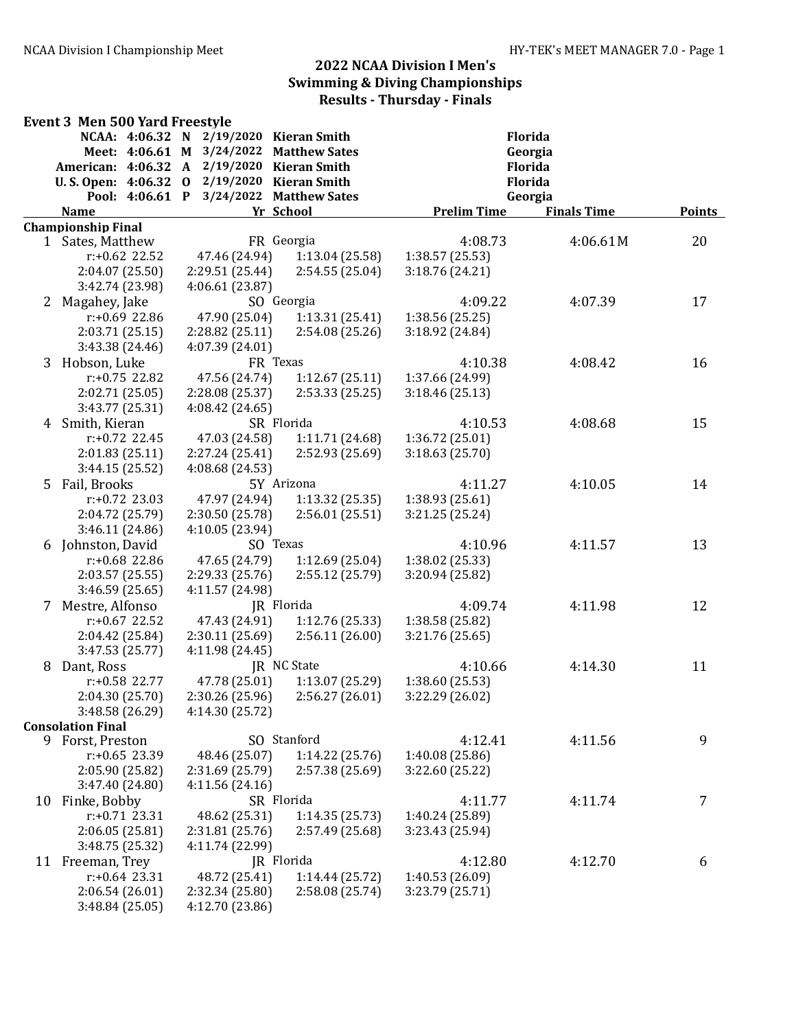|    | <b>Event 3 Men 500 Yard Freestyle</b>                                                                     |                 |                                                                                                                                    |                                          |                    |               |
|----|-----------------------------------------------------------------------------------------------------------|-----------------|------------------------------------------------------------------------------------------------------------------------------------|------------------------------------------|--------------------|---------------|
|    | NCAA: 4:06.32 N<br>Meet: 4:06.61 M<br><b>American: 4:06.32</b><br>U.S. Open: 4:06.32 0<br>Pool: 4:06.61 P | $\mathbf{A}$    | 2/19/2020 Kieran Smith<br>3/24/2022 Matthew Sates<br>2/19/2020 Kieran Smith<br>$2/19/2020$ Kieran Smith<br>3/24/2022 Matthew Sates | Florida<br>Georgia<br>Florida<br>Florida |                    |               |
|    | <b>Name</b>                                                                                               |                 | Yr School                                                                                                                          | Georgia<br><b>Prelim Time</b>            | <b>Finals Time</b> | <b>Points</b> |
|    | <b>Championship Final</b>                                                                                 |                 |                                                                                                                                    |                                          |                    |               |
|    | 1 Sates, Matthew                                                                                          |                 | FR Georgia                                                                                                                         | 4:08.73                                  | 4:06.61M           | 20            |
|    | $r: +0.62$ 22.52                                                                                          | 47.46 (24.94)   | 1:13.04(25.58)                                                                                                                     | 1:38.57(25.53)                           |                    |               |
|    | 2:04.07 (25.50)                                                                                           | 2:29.51 (25.44) | 2:54.55(25.04)                                                                                                                     | 3:18.76 (24.21)                          |                    |               |
|    | 3:42.74 (23.98)                                                                                           | 4:06.61(23.87)  |                                                                                                                                    |                                          |                    |               |
|    | 2 Magahey, Jake                                                                                           |                 | SO Georgia                                                                                                                         | 4:09.22                                  | 4:07.39            | 17            |
|    | r:+0.69 22.86                                                                                             | 47.90 (25.04)   | 1:13.31(25.41)                                                                                                                     | 1:38.56 (25.25)                          |                    |               |
|    | 2:03.71 (25.15)                                                                                           | 2:28.82 (25.11) | 2:54.08(25.26)                                                                                                                     | 3:18.92 (24.84)                          |                    |               |
|    | 3:43.38 (24.46)                                                                                           | 4:07.39 (24.01) |                                                                                                                                    |                                          |                    |               |
| 3  | Hobson, Luke                                                                                              |                 | FR Texas                                                                                                                           | 4:10.38                                  | 4:08.42            | 16            |
|    | r:+0.75 22.82                                                                                             | 47.56 (24.74)   | 1:12.67(25.11)                                                                                                                     | 1:37.66 (24.99)                          |                    |               |
|    | 2:02.71 (25.05)                                                                                           | 2:28.08 (25.37) | 2:53.33(25.25)                                                                                                                     | 3:18.46(25.13)                           |                    |               |
|    | 3:43.77 (25.31)<br>4 Smith, Kieran                                                                        | 4:08.42 (24.65) | SR Florida                                                                                                                         | 4:10.53                                  | 4:08.68            | 15            |
|    | $r: +0.72$ 22.45                                                                                          | 47.03 (24.58)   | 1:11.71 (24.68)                                                                                                                    | 1:36.72 (25.01)                          |                    |               |
|    | 2:01.83(25.11)                                                                                            | 2:27.24(25.41)  | 2:52.93 (25.69)                                                                                                                    | 3:18.63(25.70)                           |                    |               |
|    | 3:44.15(25.52)                                                                                            | 4:08.68 (24.53) |                                                                                                                                    |                                          |                    |               |
| 5  | Fail, Brooks                                                                                              |                 | 5Y Arizona                                                                                                                         | 4:11.27                                  | 4:10.05            | 14            |
|    | $r: +0.72$ 23.03                                                                                          | 47.97 (24.94)   | 1:13.32(25.35)                                                                                                                     | 1:38.93 (25.61)                          |                    |               |
|    | 2:04.72 (25.79)                                                                                           | 2:30.50 (25.78) | 2:56.01(25.51)                                                                                                                     | 3:21.25 (25.24)                          |                    |               |
|    | 3:46.11 (24.86)                                                                                           | 4:10.05 (23.94) |                                                                                                                                    |                                          |                    |               |
|    | 6 Johnston, David                                                                                         |                 | SO Texas                                                                                                                           | 4:10.96                                  | 4:11.57            | 13            |
|    | r:+0.68 22.86                                                                                             | 47.65 (24.79)   | 1:12.69(25.04)                                                                                                                     | 1:38.02 (25.33)                          |                    |               |
|    | 2:03.57 (25.55)                                                                                           | 2:29.33 (25.76) | 2:55.12 (25.79)                                                                                                                    | 3:20.94 (25.82)                          |                    |               |
|    | 3:46.59 (25.65)                                                                                           | 4:11.57 (24.98) |                                                                                                                                    |                                          |                    |               |
| 7  | Mestre, Alfonso                                                                                           |                 | JR Florida                                                                                                                         | 4:09.74                                  | 4:11.98            | 12            |
|    | $r: +0.67$ 22.52                                                                                          | 47.43 (24.91)   | 1:12.76(25.33)                                                                                                                     | 1:38.58 (25.82)                          |                    |               |
|    | 2:04.42 (25.84)                                                                                           | 2:30.11 (25.69) | 2:56.11(26.00)                                                                                                                     | 3:21.76 (25.65)                          |                    |               |
|    | 3:47.53(25.77)                                                                                            | 4:11.98 (24.45) |                                                                                                                                    |                                          |                    |               |
| 8  | Dant, Ross                                                                                                |                 | JR NC State                                                                                                                        | 4:10.66                                  | 4:14.30            | 11            |
|    | r:+0.58 22.77                                                                                             | 47.78 (25.01)   | 1:13.07 (25.29)                                                                                                                    | 1:38.60 (25.53)                          |                    |               |
|    | 2:04.30 (25.70)                                                                                           | 2:30.26 (25.96) | 2:56.27 (26.01)                                                                                                                    | 3:22.29 (26.02)                          |                    |               |
|    | 3:48.58 (26.29)                                                                                           | 4:14.30 (25.72) |                                                                                                                                    |                                          |                    |               |
|    | <b>Consolation Final</b><br>9 Forst, Preston                                                              |                 | SO Stanford                                                                                                                        | 4:12.41                                  | 4:11.56            | 9             |
|    | $r: +0.65$ 23.39                                                                                          | 48.46 (25.07)   | 1:14.22 (25.76)                                                                                                                    | 1:40.08 (25.86)                          |                    |               |
|    | 2:05.90 (25.82)                                                                                           | 2:31.69 (25.79) | 2:57.38 (25.69)                                                                                                                    | 3:22.60 (25.22)                          |                    |               |
|    | 3:47.40 (24.80)                                                                                           | 4:11.56(24.16)  |                                                                                                                                    |                                          |                    |               |
| 10 | Finke, Bobby                                                                                              |                 | SR Florida                                                                                                                         | 4:11.77                                  | 4:11.74            | 7             |
|    | $r: +0.71$ 23.31                                                                                          | 48.62 (25.31)   | 1:14.35 (25.73)                                                                                                                    | 1:40.24 (25.89)                          |                    |               |
|    | 2:06.05(25.81)                                                                                            | 2:31.81 (25.76) | 2:57.49 (25.68)                                                                                                                    | 3:23.43 (25.94)                          |                    |               |
|    | 3:48.75 (25.32)                                                                                           | 4:11.74 (22.99) |                                                                                                                                    |                                          |                    |               |
|    | 11 Freeman, Trey                                                                                          |                 | JR Florida                                                                                                                         | 4:12.80                                  | 4:12.70            | 6             |
|    | $r: +0.64$ 23.31                                                                                          | 48.72 (25.41)   | 1:14.44(25.72)                                                                                                                     | 1:40.53 (26.09)                          |                    |               |
|    | 2:06.54(26.01)                                                                                            | 2:32.34 (25.80) | 2:58.08 (25.74)                                                                                                                    | 3:23.79 (25.71)                          |                    |               |
|    | 3:48.84 (25.05)                                                                                           | 4:12.70 (23.86) |                                                                                                                                    |                                          |                    |               |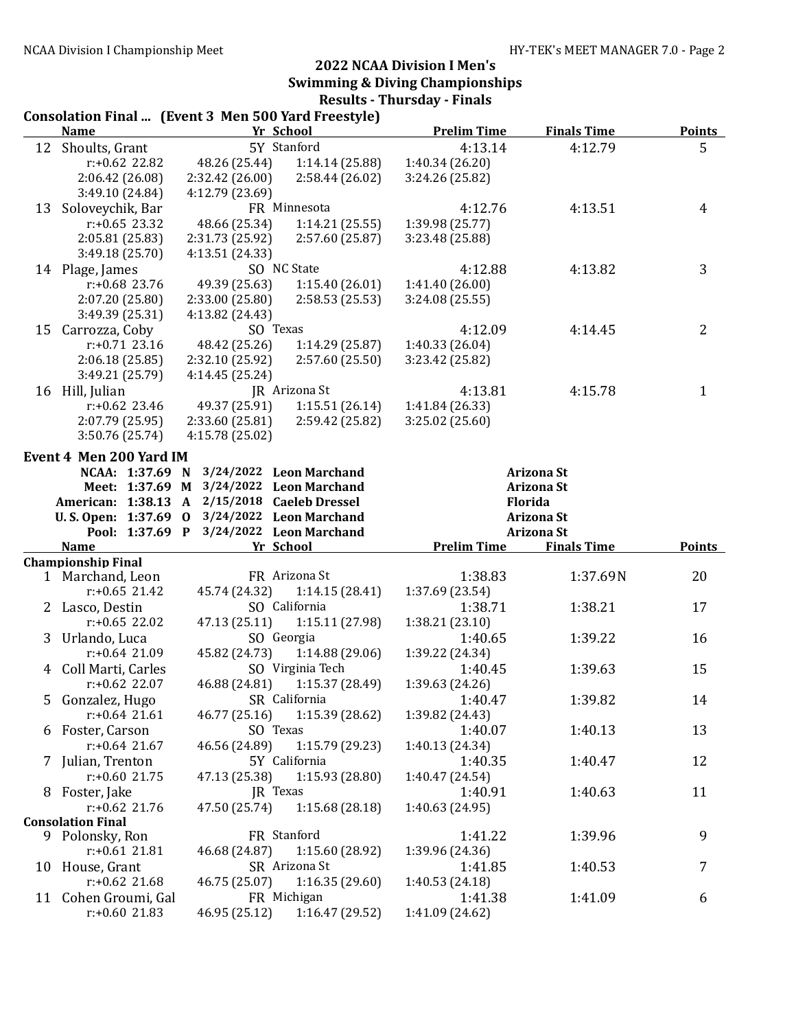|    | <b>Consolation Final  (Event 3 Men 500 Yard Freestyle)</b> |                                     |                  |                    |                    |                |
|----|------------------------------------------------------------|-------------------------------------|------------------|--------------------|--------------------|----------------|
|    | <b>Name</b>                                                | Yr School                           |                  | <b>Prelim Time</b> | <b>Finals Time</b> | <b>Points</b>  |
|    | 12 Shoults, Grant                                          | 5Y Stanford                         |                  | 4:13.14            | 4:12.79            | 5              |
|    | $r: +0.62$ 22.82                                           | 48.26 (25.44)                       | 1:14.14 (25.88)  | 1:40.34 (26.20)    |                    |                |
|    | 2:06.42 (26.08)                                            | 2:32.42 (26.00)                     | 2:58.44 (26.02)  | 3:24.26 (25.82)    |                    |                |
|    | 3:49.10 (24.84)                                            | 4:12.79 (23.69)                     |                  |                    |                    |                |
| 13 | Soloveychik, Bar                                           | FR Minnesota                        |                  | 4:12.76            | 4:13.51            | 4              |
|    | $r: +0.65$ 23.32                                           | 48.66 (25.34)                       | 1:14.21(25.55)   | 1:39.98 (25.77)    |                    |                |
|    | 2:05.81(25.83)                                             | 2:31.73 (25.92)                     | 2:57.60 (25.87)  | 3:23.48 (25.88)    |                    |                |
|    | 3:49.18 (25.70)                                            | 4:13.51 (24.33)                     |                  |                    |                    |                |
|    | 14 Plage, James                                            | SO NC State                         |                  | 4:12.88            | 4:13.82            | 3              |
|    | $r: +0.68$ 23.76                                           | 49.39 (25.63)                       | 1:15.40(26.01)   | 1:41.40 (26.00)    |                    |                |
|    | 2:07.20 (25.80)                                            | 2:33.00(25.80)                      | 2:58.53 (25.53)  | 3:24.08 (25.55)    |                    |                |
|    | 3:49.39 (25.31)                                            | 4:13.82 (24.43)                     |                  |                    |                    |                |
|    | 15 Carrozza, Coby                                          | SO Texas                            |                  | 4:12.09            | 4:14.45            | $\overline{2}$ |
|    | $r: +0.71$ 23.16                                           | 48.42 (25.26)                       | 1:14.29(25.87)   | 1:40.33 (26.04)    |                    |                |
|    | 2:06.18(25.85)                                             | 2:32.10 (25.92)                     | 2:57.60 (25.50)  | 3:23.42 (25.82)    |                    |                |
|    | 3:49.21 (25.79)                                            | 4:14.45 (25.24)                     |                  |                    |                    |                |
|    | 16 Hill, Julian                                            | JR Arizona St                       |                  | 4:13.81            | 4:15.78            | 1              |
|    | $r: +0.62$ 23.46                                           | 49.37 (25.91)                       | 1:15.51(26.14)   | 1:41.84 (26.33)    |                    |                |
|    | 2:07.79 (25.95)                                            | 2:33.60 (25.81)                     | 2:59.42 (25.82)  | 3:25.02 (25.60)    |                    |                |
|    | 3:50.76 (25.74)                                            | 4:15.78 (25.02)                     |                  |                    |                    |                |
|    | Event 4 Men 200 Yard IM                                    |                                     |                  |                    |                    |                |
|    | NCAA: 1:37.69 N                                            | 3/24/2022 Leon Marchand             |                  |                    | <b>Arizona St</b>  |                |
|    | Meet: 1:37.69 M                                            | 3/24/2022 Leon Marchand             |                  |                    | <b>Arizona St</b>  |                |
|    | American: 1:38.13                                          | 2/15/2018 Caeleb Dressel<br>A       |                  |                    | Florida            |                |
|    | U.S. Open: 1:37.69                                         | 3/24/2022 Leon Marchand<br>$\bf{0}$ |                  |                    | <b>Arizona St</b>  |                |
|    | Pool: 1:37.69 P                                            | 3/24/2022 Leon Marchand             |                  |                    | <b>Arizona St</b>  |                |
|    | <b>Name</b>                                                | Yr School                           |                  | <b>Prelim Time</b> | <b>Finals Time</b> | <b>Points</b>  |
|    | <b>Championship Final</b>                                  |                                     |                  |                    |                    |                |
|    | 1 Marchand, Leon                                           | FR Arizona St                       |                  | 1:38.83            | 1:37.69N           | 20             |
|    | $r: +0.65$ 21.42                                           | 45.74 (24.32)                       | 1:14.15(28.41)   | 1:37.69 (23.54)    |                    |                |
|    | 2 Lasco, Destin                                            | SO California                       |                  | 1:38.71            | 1:38.21            | 17             |
|    | $r: +0.65$ 22.02                                           | 47.13 (25.11)                       | 1:15.11 (27.98)  | 1:38.21 (23.10)    |                    |                |
|    | 3 Urlando, Luca                                            | SO Georgia                          |                  | 1:40.65            | 1:39.22            | 16             |
|    | $r: +0.64$ 21.09                                           | 45.82 (24.73)                       | 1:14.88 (29.06)  | 1:39.22 (24.34)    |                    |                |
|    | 4 Coll Marti, Carles                                       |                                     | SO Virginia Tech | 1:40.45            | 1:39.63            | 15             |
|    | $r: +0.62$ 22.07                                           | 46.88 (24.81)                       | 1:15.37 (28.49)  | 1:39.63 (24.26)    |                    |                |
|    |                                                            | SR California                       |                  |                    |                    |                |
|    | 5 Gonzalez, Hugo                                           |                                     |                  | 1:40.47            | 1:39.82            | 14             |
|    | $r: +0.64$ 21.61                                           | 46.77 (25.16)                       | 1:15.39 (28.62)  | 1:39.82 (24.43)    |                    |                |
|    | 6 Foster, Carson                                           | SO Texas                            |                  | 1:40.07            | 1:40.13            | 13             |
|    | $r: +0.64$ 21.67                                           | 46.56 (24.89)                       | 1:15.79 (29.23)  | 1:40.13 (24.34)    |                    |                |
|    | 7 Julian, Trenton                                          | 5Y California                       |                  | 1:40.35            | 1:40.47            | 12             |
|    | $r: +0.60$ 21.75                                           | 47.13 (25.38)                       | 1:15.93 (28.80)  | 1:40.47 (24.54)    |                    |                |
|    | 8 Foster, Jake                                             | JR Texas                            |                  | 1:40.91            | 1:40.63            | 11             |
|    | $r: +0.62$ 21.76                                           | 47.50 (25.74)                       | 1:15.68(28.18)   | 1:40.63 (24.95)    |                    |                |
|    | <b>Consolation Final</b>                                   |                                     |                  |                    |                    |                |
|    | 9 Polonsky, Ron                                            | FR Stanford                         |                  | 1:41.22            | 1:39.96            | 9              |
|    | $r: +0.61$ 21.81                                           | 46.68 (24.87)                       | 1:15.60(28.92)   | 1:39.96 (24.36)    |                    |                |
|    | 10 House, Grant                                            | SR Arizona St                       |                  | 1:41.85            | 1:40.53            | 7              |
|    | $r: +0.62$ 21.68                                           | 46.75 (25.07) 1:16.35 (29.60)       |                  | 1:40.53 (24.18)    |                    |                |
|    | 11 Cohen Groumi, Gal                                       | FR Michigan                         |                  | 1:41.38            | 1:41.09            | 6              |
|    | $r: +0.60$ 21.83                                           | 46.95 (25.12) 1:16.47 (29.52)       |                  | 1:41.09 (24.62)    |                    |                |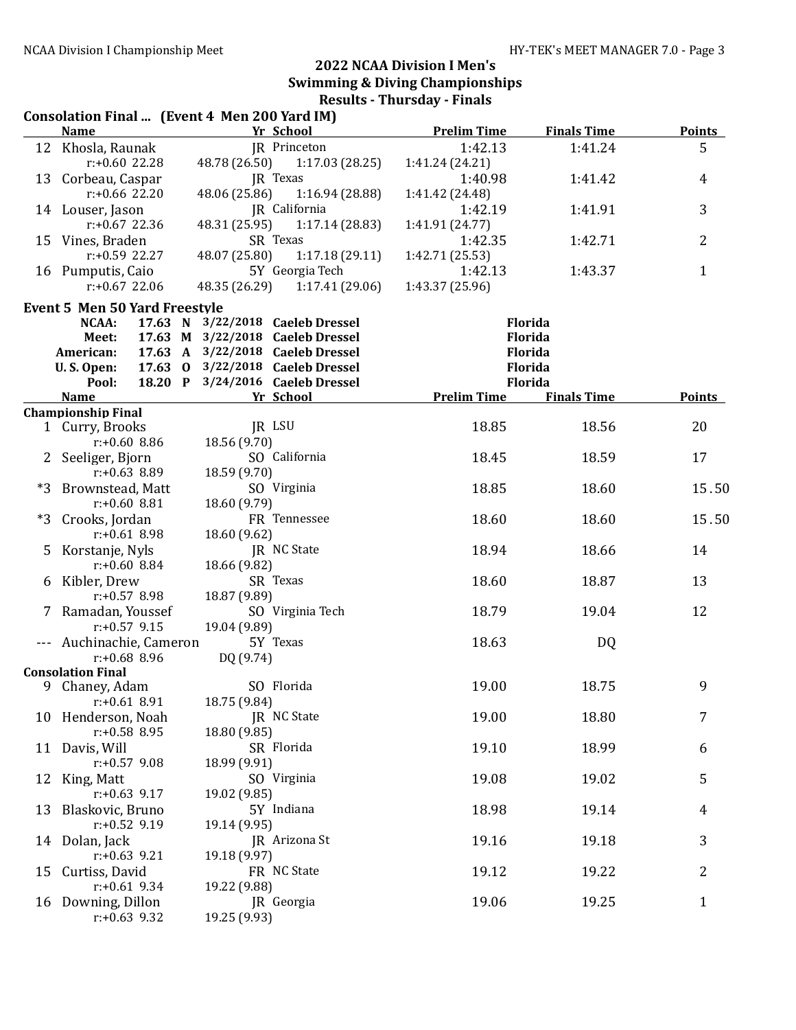|      |                                        | Consolation Final  (Event 4 Men 200 Yard IM)                         |                            |                    |                |
|------|----------------------------------------|----------------------------------------------------------------------|----------------------------|--------------------|----------------|
|      | <b>Name</b>                            | Yr School                                                            | <b>Prelim Time</b>         | <b>Finals Time</b> | <b>Points</b>  |
|      | 12 Khosla, Raunak                      | JR Princeton                                                         | 1:42.13                    | 1:41.24            | 5              |
|      | r:+0.60 22.28                          | 48.78 (26.50)<br>1:17.03(28.25)                                      | 1:41.24 (24.21)            |                    |                |
|      | JR Texas<br>13 Corbeau, Caspar         |                                                                      | 1:40.98                    | 1:41.42            | 4              |
|      | $r: +0.66$ 22.20                       | 48.06 (25.86)<br>1:16.94 (28.88)                                     | 1:41.42 (24.48)            |                    | 3              |
|      | 14 Louser, Jason<br>$r: +0.67$ 22.36   | JR California<br>48.31 (25.95)<br>1:17.14(28.83)                     | 1:42.19                    | 1:41.91            |                |
|      | 15 Vines, Braden                       | SR Texas                                                             | 1:41.91 (24.77)<br>1:42.35 | 1:42.71            | $\overline{2}$ |
|      | $r: +0.59$ 22.27                       | 48.07 (25.80)<br>1:17.18(29.11)                                      | 1:42.71 (25.53)            |                    |                |
|      | 16 Pumputis, Caio                      | 5Y Georgia Tech                                                      | 1:42.13                    | 1:43.37            | $\mathbf{1}$   |
|      | $r: +0.67$ 22.06                       | 48.35 (26.29)<br>1:17.41(29.06)                                      | 1:43.37 (25.96)            |                    |                |
|      |                                        |                                                                      |                            |                    |                |
|      | <b>Event 5 Men 50 Yard Freestyle</b>   |                                                                      |                            | Florida            |                |
|      | NCAA:<br>Meet:                         | 17.63 N 3/22/2018 Caeleb Dressel<br>17.63 M 3/22/2018 Caeleb Dressel |                            | Florida            |                |
|      | American:                              | 17.63 A 3/22/2018 Caeleb Dressel                                     |                            | Florida            |                |
|      | U.S. Open:                             | 17.63 0 3/22/2018 Caeleb Dressel                                     |                            | Florida            |                |
|      | Pool:                                  | 18.20 P 3/24/2016 Caeleb Dressel                                     |                            | Florida            |                |
|      | <b>Name</b>                            | Yr School                                                            | <b>Prelim Time</b>         | <b>Finals Time</b> | <b>Points</b>  |
|      | <b>Championship Final</b>              |                                                                      |                            |                    |                |
|      | 1 Curry, Brooks                        | JR LSU                                                               | 18.85                      | 18.56              | 20             |
|      | $r: +0.60$ 8.86                        | 18.56 (9.70)                                                         |                            |                    |                |
|      | 2 Seeliger, Bjorn                      | SO California                                                        | 18.45                      | 18.59              | 17             |
|      | $r: +0.63$ 8.89                        | 18.59 (9.70)                                                         |                            |                    |                |
| $*3$ | Brownstead, Matt                       | SO Virginia                                                          | 18.85                      | 18.60              | 15.50          |
|      | $r: +0.60$ 8.81                        | 18.60 (9.79)                                                         |                            |                    |                |
| $*3$ | Crooks, Jordan                         | FR Tennessee                                                         | 18.60                      | 18.60              | 15.50          |
|      | $r: +0.61$ 8.98                        | 18.60 (9.62)                                                         |                            |                    |                |
|      | 5 Korstanje, Nyls                      | JR NC State                                                          | 18.94                      | 18.66              | 14             |
|      | $r: +0.60$ 8.84                        | 18.66 (9.82)<br>SR Texas                                             | 18.60                      |                    | 13             |
|      | 6 Kibler, Drew<br>$r: +0.57$ 8.98      | 18.87 (9.89)                                                         |                            | 18.87              |                |
|      | 7 Ramadan, Youssef                     | SO Virginia Tech                                                     | 18.79                      | 19.04              | 12             |
|      | $r: +0.57$ 9.15                        | 19.04 (9.89)                                                         |                            |                    |                |
|      | --- Auchinachie, Cameron               | 5Y Texas                                                             | 18.63                      | DQ                 |                |
|      | $r: +0.68$ 8.96                        | DQ (9.74)                                                            |                            |                    |                |
|      | <b>Consolation Final</b>               |                                                                      |                            |                    |                |
|      | 9 Chaney, Adam                         | SO Florida                                                           | 19.00                      | 18.75              | 9              |
|      | $r: +0.61$ 8.91                        | 18.75 (9.84)                                                         |                            |                    |                |
|      | 10 Henderson, Noah                     | JR NC State                                                          | 19.00                      | 18.80              | 7              |
|      | $r: +0.58$ 8.95                        | 18.80 (9.85)                                                         |                            |                    |                |
|      | 11 Davis, Will                         | SR Florida                                                           | 19.10                      | 18.99              | 6              |
|      | $r: +0.57$ 9.08                        | 18.99 (9.91)                                                         |                            |                    |                |
|      | 12 King, Matt                          | SO Virginia                                                          | 19.08                      | 19.02              | 5              |
|      | $r: +0.63$ 9.17                        | 19.02 (9.85)<br>5Y Indiana                                           |                            | 19.14              |                |
|      | 13 Blaskovic, Bruno<br>$r: +0.52$ 9.19 | 19.14 (9.95)                                                         | 18.98                      |                    | 4              |
|      | 14 Dolan, Jack                         | JR Arizona St                                                        | 19.16                      | 19.18              | 3              |
|      | $r: +0.63$ 9.21                        | 19.18 (9.97)                                                         |                            |                    |                |
| 15   | Curtiss, David                         | FR NC State                                                          | 19.12                      | 19.22              | 2              |
|      | $r: +0.61$ 9.34                        | 19.22 (9.88)                                                         |                            |                    |                |
|      | 16 Downing, Dillon                     | JR Georgia                                                           | 19.06                      | 19.25              | $\mathbf{1}$   |
|      | $r: +0.63$ 9.32                        | 19.25 (9.93)                                                         |                            |                    |                |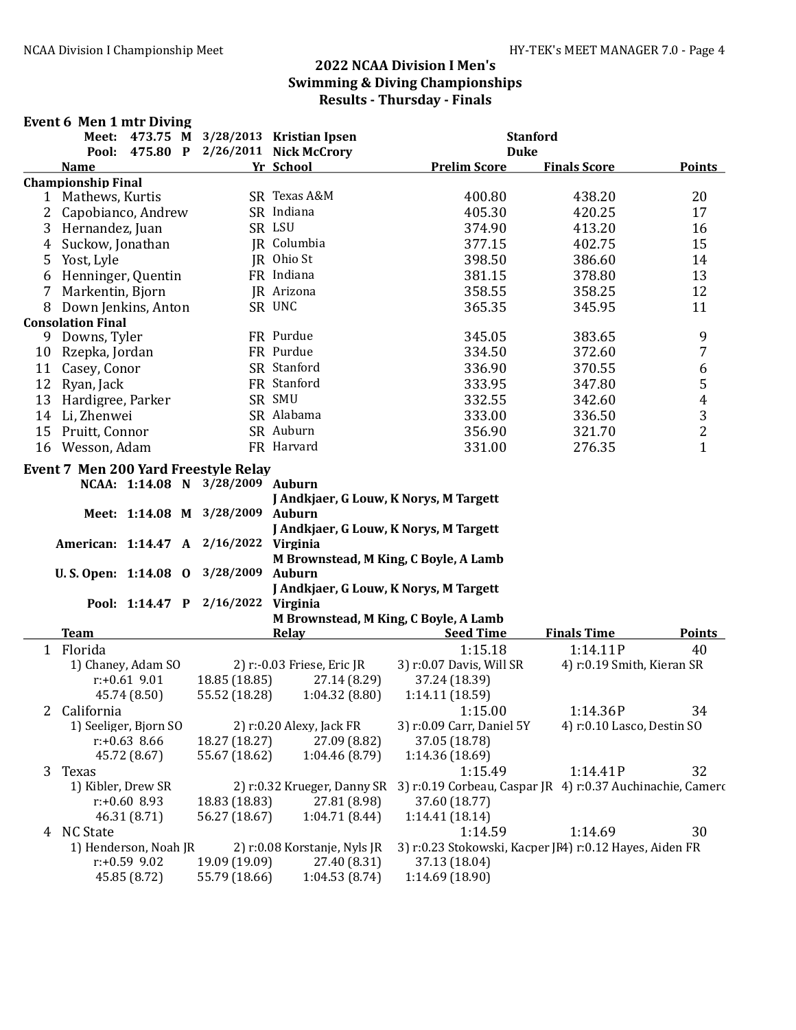#### Event 6 Men 1 mtr Diving

|                |                           |                 |                                             | Meet: 473.75 M 3/28/2013 Kristian Ipsen | <b>Stanford</b>                                                                        |                            |                         |
|----------------|---------------------------|-----------------|---------------------------------------------|-----------------------------------------|----------------------------------------------------------------------------------------|----------------------------|-------------------------|
|                |                           |                 |                                             | Pool: 475.80 P 2/26/2011 Nick McCrory   | <b>Duke</b>                                                                            |                            |                         |
|                | <b>Name</b>               |                 |                                             | Yr School                               | <b>Prelim Score</b>                                                                    | <b>Finals Score</b>        | Points                  |
|                | <b>Championship Final</b> |                 |                                             |                                         |                                                                                        |                            |                         |
|                | 1 Mathews, Kurtis         |                 |                                             | SR Texas A&M                            | 400.80                                                                                 | 438.20                     | 20                      |
| $\overline{2}$ | Capobianco, Andrew        |                 |                                             | SR Indiana                              | 405.30                                                                                 | 420.25                     | 17                      |
| 3              | Hernandez, Juan           |                 |                                             | SR LSU                                  | 374.90                                                                                 | 413.20                     | 16                      |
| 4              | Suckow, Jonathan          |                 |                                             | JR Columbia                             | 377.15                                                                                 | 402.75                     | 15                      |
| 5              | Yost, Lyle                |                 |                                             | JR Ohio St                              | 398.50                                                                                 | 386.60                     | 14                      |
| 6              | Henninger, Quentin        |                 |                                             | FR Indiana                              | 381.15                                                                                 | 378.80                     | 13                      |
| 7              | Markentin, Bjorn          |                 |                                             | JR Arizona                              | 358.55                                                                                 | 358.25                     | 12                      |
| 8              | Down Jenkins, Anton       |                 |                                             | SR UNC                                  | 365.35                                                                                 | 345.95                     | 11                      |
|                | <b>Consolation Final</b>  |                 |                                             |                                         |                                                                                        |                            |                         |
| 9              | Downs, Tyler              |                 |                                             | FR Purdue                               | 345.05                                                                                 | 383.65                     | 9                       |
|                | 10 Rzepka, Jordan         |                 |                                             | FR Purdue                               | 334.50                                                                                 | 372.60                     | $\overline{7}$          |
|                |                           |                 |                                             | SR Stanford                             | 336.90                                                                                 | 370.55                     |                         |
|                | 11 Casey, Conor           |                 |                                             |                                         |                                                                                        |                            | $\boldsymbol{6}$        |
|                | 12 Ryan, Jack             |                 |                                             | FR Stanford                             | 333.95                                                                                 | 347.80                     | 5                       |
| 13             | Hardigree, Parker         |                 |                                             | SR SMU                                  | 332.55                                                                                 | 342.60                     | $\overline{\mathbf{r}}$ |
|                | 14 Li, Zhenwei            |                 |                                             | SR Alabama                              | 333.00                                                                                 | 336.50                     | $\frac{3}{2}$           |
|                | 15 Pruitt, Connor         |                 |                                             | SR Auburn                               | 356.90                                                                                 | 321.70                     |                         |
|                | 16 Wesson, Adam           |                 |                                             | FR Harvard                              | 331.00                                                                                 | 276.35                     | $\mathbf{1}$            |
|                |                           |                 | <b>Event 7 Men 200 Yard Freestyle Relay</b> |                                         |                                                                                        |                            |                         |
|                |                           |                 | NCAA: 1:14.08 N 3/28/2009 Auburn            |                                         |                                                                                        |                            |                         |
|                |                           |                 |                                             | J Andkjaer, G Louw, K Norys, M Targett  |                                                                                        |                            |                         |
|                |                           |                 | Meet: 1:14.08 M 3/28/2009                   | <b>Auburn</b>                           |                                                                                        |                            |                         |
|                |                           |                 |                                             | J Andkjaer, G Louw, K Norys, M Targett  |                                                                                        |                            |                         |
|                |                           |                 | American: 1:14.47 A 2/16/2022 Virginia      |                                         |                                                                                        |                            |                         |
|                |                           |                 |                                             | M Brownstead, M King, C Boyle, A Lamb   |                                                                                        |                            |                         |
|                |                           |                 | U.S. Open: 1:14.08 0 3/28/2009              | <b>Auburn</b>                           |                                                                                        |                            |                         |
|                |                           |                 |                                             | J Andkjaer, G Louw, K Norys, M Targett  |                                                                                        |                            |                         |
|                |                           |                 | Pool: 1:14.47 P 2/16/2022 Virginia          |                                         |                                                                                        |                            |                         |
|                |                           |                 |                                             | M Brownstead, M King, C Boyle, A Lamb   |                                                                                        |                            |                         |
|                | <b>Team</b>               |                 |                                             | <b>Relay</b>                            | <b>Seed Time</b>                                                                       | <b>Finals Time</b>         | <b>Points</b>           |
|                | 1 Florida                 |                 |                                             |                                         |                                                                                        | 1:14.11P                   | 40                      |
|                |                           |                 |                                             |                                         | 1:15.18                                                                                |                            |                         |
|                | 1) Chaney, Adam SO        |                 |                                             | 2) r:-0.03 Friese, Eric JR              | 3) r:0.07 Davis, Will SR                                                               | 4) r:0.19 Smith, Kieran SR |                         |
|                |                           | $r: +0.61$ 9.01 | 18.85 (18.85)                               | 27.14 (8.29)                            | 37.24 (18.39)                                                                          |                            |                         |
|                |                           | 45.74 (8.50)    | 55.52 (18.28)                               | 1:04.32(8.80)                           | 1:14.11(18.59)                                                                         |                            |                         |
| 2              | California                |                 |                                             |                                         | 1:15.00                                                                                | 1:14.36P                   | 34                      |
|                | 1) Seeliger, Bjorn SO     |                 |                                             | 2) r:0.20 Alexy, Jack FR                | 3) r:0.09 Carr, Daniel 5Y                                                              | 4) r:0.10 Lasco, Destin SO |                         |
|                |                           | $r: +0.63$ 8.66 | 18.27 (18.27)                               | 27.09 (8.82)                            | 37.05 (18.78)                                                                          |                            |                         |
|                |                           | 45.72 (8.67)    | 55.67 (18.62)                               | 1:04.46(8.79)                           | 1:14.36 (18.69)                                                                        |                            |                         |
| 3              | Texas                     |                 |                                             |                                         | 1:15.49                                                                                | 1:14.41P                   | 32                      |
|                | 1) Kibler, Drew SR        |                 |                                             |                                         | 2) r:0.32 Krueger, Danny SR 3) r:0.19 Corbeau, Caspar JR 4) r:0.37 Auchinachie, Camero |                            |                         |
|                |                           | $r: +0.60$ 8.93 | 18.83 (18.83)                               | 27.81 (8.98)                            | 37.60 (18.77)                                                                          |                            |                         |
|                |                           | 46.31 (8.71)    | 56.27 (18.67)                               | 1:04.71(8.44)                           | 1:14.41(18.14)                                                                         |                            |                         |
|                | 4 NC State                |                 |                                             |                                         | 1:14.59                                                                                | 1:14.69                    | 30                      |
|                | 1) Henderson, Noah JR     |                 |                                             | 2) r:0.08 Korstanje, Nyls JR            | 3) r:0.23 Stokowski, Kacper JF4) r:0.12 Hayes, Aiden FR                                |                            |                         |
|                |                           | $r: +0.59$ 9.02 | 19.09 (19.09)                               | 27.40 (8.31)                            | 37.13 (18.04)                                                                          |                            |                         |
|                |                           | 45.85 (8.72)    | 55.79 (18.66)                               | 1:04.53(8.74)                           | 1:14.69 (18.90)                                                                        |                            |                         |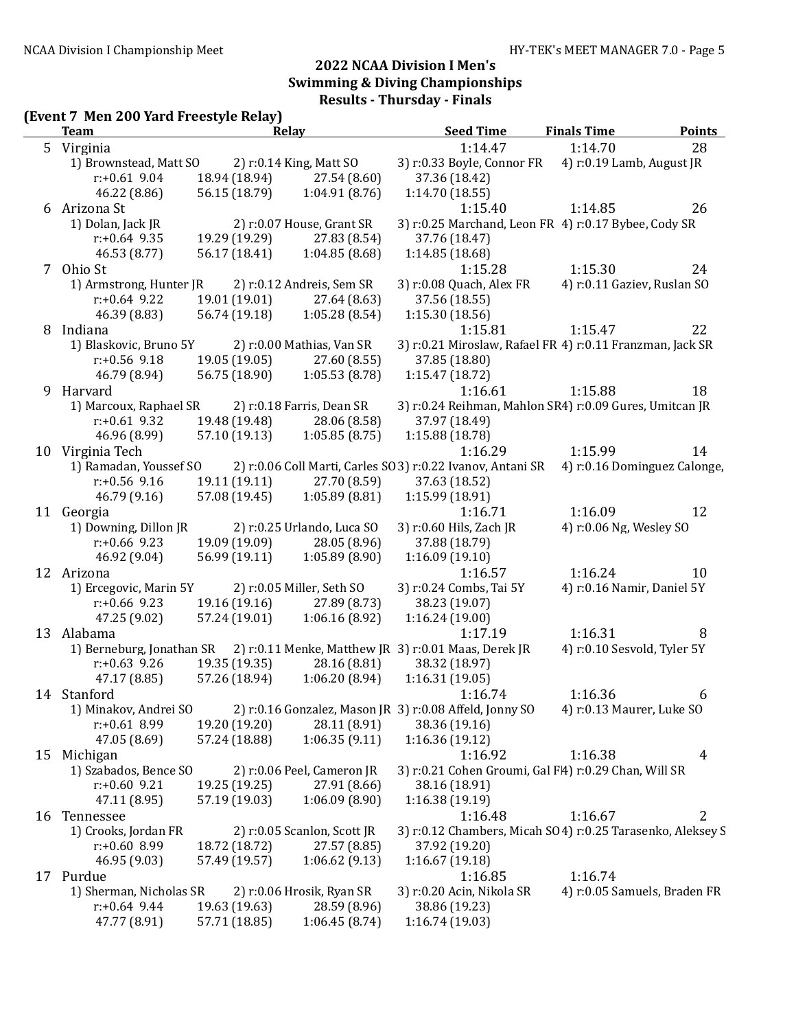# (Event 7 Men 200 Yard Freestyle Relay)

|    | <b>Team</b>               |               | . .<br>Relay                | <b>Seed Time</b>                                                   | <b>Finals Time</b>           | Points                       |
|----|---------------------------|---------------|-----------------------------|--------------------------------------------------------------------|------------------------------|------------------------------|
|    | 5 Virginia                |               |                             | 1:14.47                                                            | 1:14.70                      | 28                           |
|    | 1) Brownstead, Matt SO    |               | 2) r:0.14 King, Matt SO     | 3) r:0.33 Boyle, Connor FR                                         | 4) r:0.19 Lamb, August JR    |                              |
|    | $r: +0.61$ 9.04           | 18.94 (18.94) | 27.54 (8.60)                | 37.36 (18.42)                                                      |                              |                              |
|    | 46.22 (8.86)              | 56.15 (18.79) | 1:04.91(8.76)               | 1:14.70(18.55)                                                     |                              |                              |
|    | 6 Arizona St              |               |                             | 1:15.40                                                            | 1:14.85                      | 26                           |
|    | 1) Dolan, Jack JR         |               | 2) r:0.07 House, Grant SR   | 3) r:0.25 Marchand, Leon FR 4) r:0.17 Bybee, Cody SR               |                              |                              |
|    | $r: +0.64$ 9.35           | 19.29 (19.29) | 27.83 (8.54)                | 37.76 (18.47)                                                      |                              |                              |
|    | 46.53 (8.77)              | 56.17 (18.41) | 1:04.85(8.68)               | 1:14.85 (18.68)                                                    |                              |                              |
|    | 7 Ohio St                 |               |                             | 1:15.28                                                            | 1:15.30                      | 24                           |
|    | 1) Armstrong, Hunter JR   |               | 2) r:0.12 Andreis, Sem SR   | 3) r:0.08 Quach, Alex FR                                           | 4) r:0.11 Gaziev, Ruslan SO  |                              |
|    | $r: +0.64$ 9.22           | 19.01 (19.01) | 27.64 (8.63)                | 37.56 (18.55)                                                      |                              |                              |
|    | 46.39 (8.83)              | 56.74 (19.18) | 1:05.28(8.54)               | 1:15.30 (18.56)                                                    |                              |                              |
| 8  | Indiana                   |               |                             | 1:15.81                                                            | 1:15.47                      | 22                           |
|    | 1) Blaskovic, Bruno 5Y    |               | 2) r:0.00 Mathias, Van SR   | 3) r:0.21 Miroslaw, Rafael FR 4) r:0.11 Franzman, Jack SR          |                              |                              |
|    | $r: +0.56$ 9.18           | 19.05 (19.05) | 27.60 (8.55)                | 37.85 (18.80)                                                      |                              |                              |
|    | 46.79 (8.94)              | 56.75 (18.90) | 1:05.53(8.78)               | 1:15.47(18.72)                                                     |                              |                              |
| 9  | Harvard                   |               |                             |                                                                    | 1:15.88                      | 18                           |
|    | 1) Marcoux, Raphael SR    |               | 2) r:0.18 Farris, Dean SR   | 1:16.61<br>3) r:0.24 Reihman, Mahlon SR4) r:0.09 Gures, Umitcan JR |                              |                              |
|    | $r: +0.61$ 9.32           |               |                             |                                                                    |                              |                              |
|    |                           | 19.48 (19.48) | 28.06 (8.58)                | 37.97 (18.49)                                                      |                              |                              |
|    | 46.96 (8.99)              | 57.10 (19.13) | 1:05.85(8.75)               | 1:15.88(18.78)                                                     |                              |                              |
|    | 10 Virginia Tech          |               |                             | 1:16.29                                                            | 1:15.99                      | 14                           |
|    | 1) Ramadan, Youssef SO    |               |                             | 2) r:0.06 Coll Marti, Carles SO 3) r:0.22 Ivanov, Antani SR        |                              | 4) r:0.16 Dominguez Calonge, |
|    | $r: +0.56$ 9.16           | 19.11 (19.11) | 27.70 (8.59)                | 37.63 (18.52)                                                      |                              |                              |
|    | 46.79 (9.16)              | 57.08 (19.45) | 1:05.89(8.81)               | 1:15.99 (18.91)                                                    |                              |                              |
|    | 11 Georgia                |               |                             | 1:16.71                                                            | 1:16.09                      | 12                           |
|    | 1) Downing, Dillon JR     |               | 2) r:0.25 Urlando, Luca SO  | 3) r:0.60 Hils, Zach JR                                            | 4) r:0.06 Ng, Wesley SO      |                              |
|    | $r: +0.66$ 9.23           | 19.09 (19.09) | 28.05 (8.96)                | 37.88 (18.79)                                                      |                              |                              |
|    | 46.92 (9.04)              | 56.99 (19.11) | 1:05.89(8.90)               | 1:16.09(19.10)                                                     |                              |                              |
|    | 12 Arizona                |               |                             | 1:16.57                                                            | 1:16.24                      | 10                           |
|    | 1) Ercegovic, Marin 5Y    |               | 2) r:0.05 Miller, Seth SO   | 3) r:0.24 Combs, Tai 5Y                                            | 4) r:0.16 Namir, Daniel 5Y   |                              |
|    | $r: +0.66$ 9.23           | 19.16 (19.16) | 27.89 (8.73)                | 38.23 (19.07)                                                      |                              |                              |
|    | 47.25 (9.02)              | 57.24 (19.01) | 1:06.16(8.92)               | 1:16.24(19.00)                                                     |                              |                              |
|    | 13 Alabama                |               |                             | 1:17.19                                                            | 1:16.31                      | 8                            |
|    | 1) Berneburg, Jonathan SR |               |                             | 2) r:0.11 Menke, Matthew JR 3) r:0.01 Maas, Derek JR               | 4) r:0.10 Sesvold, Tyler 5Y  |                              |
|    | $r: +0.63$ 9.26           | 19.35 (19.35) | 28.16 (8.81)                | 38.32 (18.97)                                                      |                              |                              |
|    | 47.17 (8.85)              | 57.26 (18.94) | 1:06.20(8.94)               | 1:16.31(19.05)                                                     |                              |                              |
|    | 14 Stanford               |               |                             | 1:16.74                                                            | 1:16.36                      | 6                            |
|    | 1) Minakov, Andrei SO     |               |                             | 2) r:0.16 Gonzalez, Mason JR 3) r:0.08 Affeld, Jonny SO            | 4) r:0.13 Maurer, Luke SO    |                              |
|    | $r: +0.61$ 8.99           | 19.20 (19.20) | 28.11 (8.91)                | 38.36 (19.16)                                                      |                              |                              |
|    | 47.05 (8.69)              | 57.24 (18.88) | 1:06.35(9.11)               | 1:16.36 (19.12)                                                    |                              |                              |
|    | 15 Michigan               |               |                             | 1:16.92                                                            | 1:16.38                      | 4                            |
|    | 1) Szabados, Bence SO     |               | 2) r:0.06 Peel, Cameron JR  | 3) r:0.21 Cohen Groumi, Gal F4) r:0.29 Chan, Will SR               |                              |                              |
|    | $r: +0.60$ 9.21           | 19.25 (19.25) | 27.91 (8.66)                | 38.16 (18.91)                                                      |                              |                              |
|    | 47.11 (8.95)              | 57.19 (19.03) | 1:06.09(8.90)               | 1:16.38 (19.19)                                                    |                              |                              |
| 16 | Tennessee                 |               |                             | 1:16.48                                                            | 1:16.67                      | $\overline{2}$               |
|    | 1) Crooks, Jordan FR      |               | 2) r:0.05 Scanlon, Scott JR | 3) r:0.12 Chambers, Micah SO4) r:0.25 Tarasenko, Aleksey S         |                              |                              |
|    | $r: +0.60$ 8.99           | 18.72 (18.72) | 27.57 (8.85)                | 37.92 (19.20)                                                      |                              |                              |
|    |                           |               |                             |                                                                    |                              |                              |
|    | 46.95 (9.03)              | 57.49 (19.57) | 1:06.62(9.13)               | 1:16.67(19.18)                                                     |                              |                              |
|    | 17 Purdue                 |               |                             | 1:16.85                                                            | 1:16.74                      |                              |
|    | 1) Sherman, Nicholas SR   |               | 2) r:0.06 Hrosik, Ryan SR   | 3) r:0.20 Acin, Nikola SR                                          | 4) r:0.05 Samuels, Braden FR |                              |
|    | $r: +0.64$ 9.44           | 19.63 (19.63) | 28.59 (8.96)                | 38.86 (19.23)                                                      |                              |                              |
|    | 47.77 (8.91)              | 57.71 (18.85) | 1:06.45(8.74)               | 1:16.74 (19.03)                                                    |                              |                              |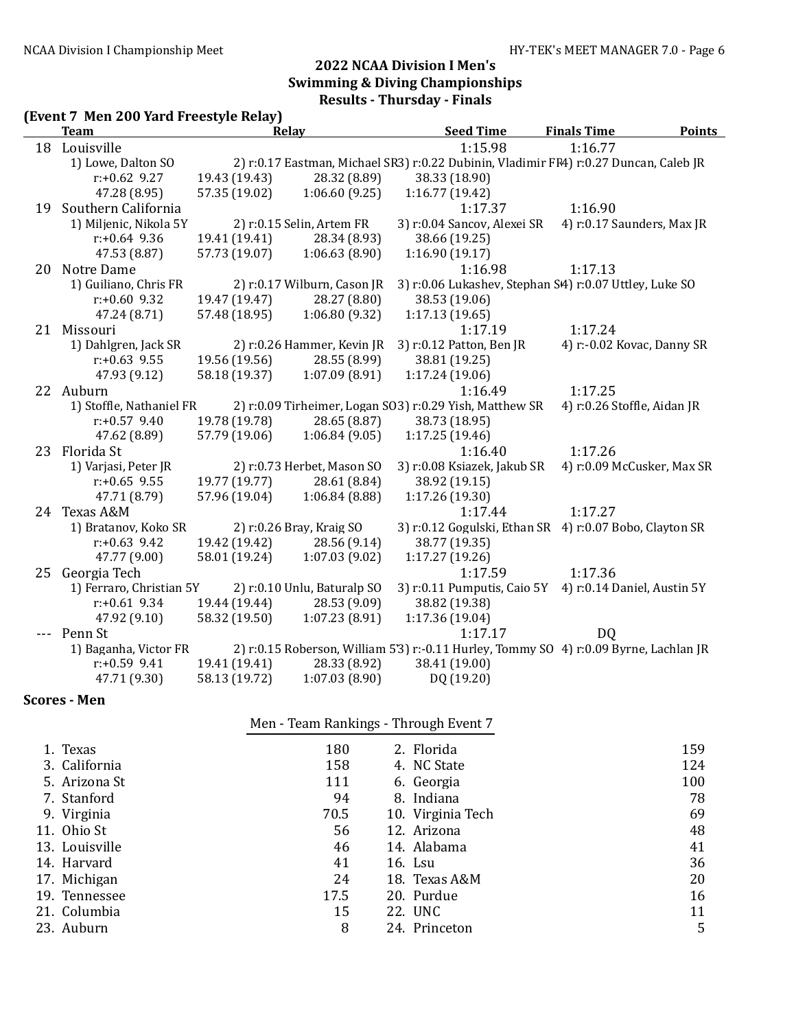# (Event 7 Men 200 Yard Freestyle Relay)

| Team                     |               | Relay                       | <b>Seed Time</b>                                                                      | <b>Finals Time</b>          | <b>Points</b> |
|--------------------------|---------------|-----------------------------|---------------------------------------------------------------------------------------|-----------------------------|---------------|
| 18 Louisville            |               |                             | 1:15.98                                                                               | 1:16.77                     |               |
| 1) Lowe, Dalton SO       |               |                             | 2) r:0.17 Eastman, Michael SR3) r:0.22 Dubinin, Vladimir FF4) r:0.27 Duncan, Caleb JR |                             |               |
| $r: +0.62$ 9.27          | 19.43 (19.43) | 28.32 (8.89)                | 38.33 (18.90)                                                                         |                             |               |
| 47.28 (8.95)             | 57.35 (19.02) | 1:06.60(9.25)               | 1:16.77(19.42)                                                                        |                             |               |
| 19 Southern California   |               |                             | 1:17.37                                                                               | 1:16.90                     |               |
| 1) Miljenic, Nikola 5Y   |               | $2)$ r:0.15 Selin, Artem FR | 3) r:0.04 Sancov, Alexei SR                                                           | 4) r:0.17 Saunders, Max JR  |               |
| $r: +0.64$ 9.36          | 19.41 (19.41) | 28.34 (8.93)                | 38.66 (19.25)                                                                         |                             |               |
| 47.53 (8.87)             | 57.73 (19.07) | 1:06.63(8.90)               | 1:16.90(19.17)                                                                        |                             |               |
| 20 Notre Dame            |               |                             | 1:16.98                                                                               | 1:17.13                     |               |
| 1) Guiliano, Chris FR    |               | 2) r:0.17 Wilburn, Cason JR | 3) r:0.06 Lukashev, Stephan S4) r:0.07 Uttley, Luke SO                                |                             |               |
| $r: +0.60$ 9.32          | 19.47 (19.47) | 28.27 (8.80)                | 38.53 (19.06)                                                                         |                             |               |
| 47.24 (8.71)             | 57.48 (18.95) | 1:06.80(9.32)               | 1:17.13(19.65)                                                                        |                             |               |
| 21 Missouri              |               |                             | 1:17.19                                                                               | 1:17.24                     |               |
| 1) Dahlgren, Jack SR     |               | 2) r:0.26 Hammer, Kevin JR  | 3) r:0.12 Patton, Ben JR                                                              | 4) r:-0.02 Kovac, Danny SR  |               |
| $r: +0.63$ 9.55          | 19.56 (19.56) | 28.55 (8.99)                | 38.81 (19.25)                                                                         |                             |               |
| 47.93 (9.12)             | 58.18 (19.37) | 1:07.09(8.91)               | 1:17.24(19.06)                                                                        |                             |               |
| 22 Auburn                |               |                             | 1:16.49                                                                               | 1:17.25                     |               |
| 1) Stoffle, Nathaniel FR |               |                             | 2) r:0.09 Tirheimer, Logan SO3) r:0.29 Yish, Matthew SR                               | 4) r:0.26 Stoffle, Aidan JR |               |
| $r: +0.57$ 9.40          | 19.78 (19.78) | 28.65 (8.87)                | 38.73 (18.95)                                                                         |                             |               |
| 47.62 (8.89)             | 57.79 (19.06) | 1:06.84(9.05)               | 1:17.25(19.46)                                                                        |                             |               |
| 23 Florida St            |               |                             | 1:16.40                                                                               | 1:17.26                     |               |
| 1) Varjasi, Peter JR     |               | 2) r:0.73 Herbet, Mason SO  | 3) r:0.08 Ksiazek, Jakub SR                                                           | 4) r:0.09 McCusker, Max SR  |               |
| $r: +0.65$ 9.55          | 19.77 (19.77) | 28.61 (8.84)                | 38.92 (19.15)                                                                         |                             |               |
| 47.71 (8.79)             | 57.96 (19.04) | 1:06.84(8.88)               | 1:17.26(19.30)                                                                        |                             |               |
| 24 Texas A&M             |               |                             | 1:17.44                                                                               | 1:17.27                     |               |
| 1) Bratanov, Koko SR     |               | 2) r:0.26 Bray, Kraig SO    | 3) r:0.12 Gogulski, Ethan SR 4) r:0.07 Bobo, Clayton SR                               |                             |               |
| $r: +0.63$ 9.42          | 19.42 (19.42) | 28.56 (9.14)                | 38.77 (19.35)                                                                         |                             |               |
| 47.77 (9.00)             | 58.01 (19.24) | 1:07.03(9.02)               | 1:17.27(19.26)                                                                        |                             |               |
| 25 Georgia Tech          |               |                             | 1:17.59                                                                               | 1:17.36                     |               |
| 1) Ferraro, Christian 5Y |               | 2) r:0.10 Unlu, Baturalp SO | 3) r:0.11 Pumputis, Caio 5Y 4) r:0.14 Daniel, Austin 5Y                               |                             |               |
| $r: +0.61$ 9.34          | 19.44 (19.44) | 28.53 (9.09)                | 38.82 (19.38)                                                                         |                             |               |
| 47.92 (9.10)             | 58.32 (19.50) | 1:07.23(8.91)               | 1:17.36 (19.04)                                                                       |                             |               |
| --- Penn St              |               |                             | 1:17.17                                                                               | D <sub>Q</sub>              |               |
| 1) Baganha, Victor FR    |               |                             | 2) r:0.15 Roberson, William 5'3) r:-0.11 Hurley, Tommy SO 4) r:0.09 Byrne, Lachlan JR |                             |               |
| $r: +0.59$ 9.41          | 19.41 (19.41) | 28.33 (8.92)                | 38.41 (19.00)                                                                         |                             |               |
| 47.71 (9.30)             | 58.13 (19.72) | 1:07.03(8.90)               | DQ (19.20)                                                                            |                             |               |

#### Scores - Men

|                |      | ັ<br>ັ            |     |
|----------------|------|-------------------|-----|
| 1. Texas       | 180  | 2. Florida        | 159 |
| 3. California  | 158  | 4. NC State       | 124 |
| 5. Arizona St  | 111  | 6. Georgia        | 100 |
| 7. Stanford    | 94   | 8. Indiana        | 78  |
| 9. Virginia    | 70.5 | 10. Virginia Tech | 69  |
| 11. Ohio St    | 56   | 12. Arizona       | 48  |
| 13. Louisville | 46   | 14. Alabama       | 41  |
| 14. Harvard    | 41   | 16. Lsu           | 36  |
| 17. Michigan   | 24   | 18. Texas A&M     | 20  |
| 19. Tennessee  | 17.5 | 20. Purdue        | 16  |
| 21. Columbia   | 15   | 22. UNC           | 11  |
| 23. Auburn     | 8    | 24. Princeton     | 5   |

Men - Team Rankings - Through Event 7